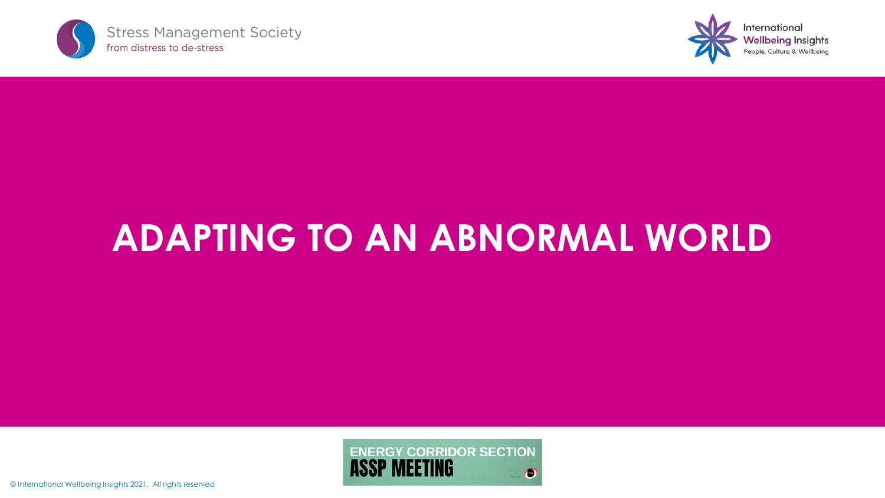



# **ADAPTING TO AN ABNORMAL WORLD**

ENERGY CORRIDOR SECTION O

© International Wellbeing Insights 2021. All rights reserved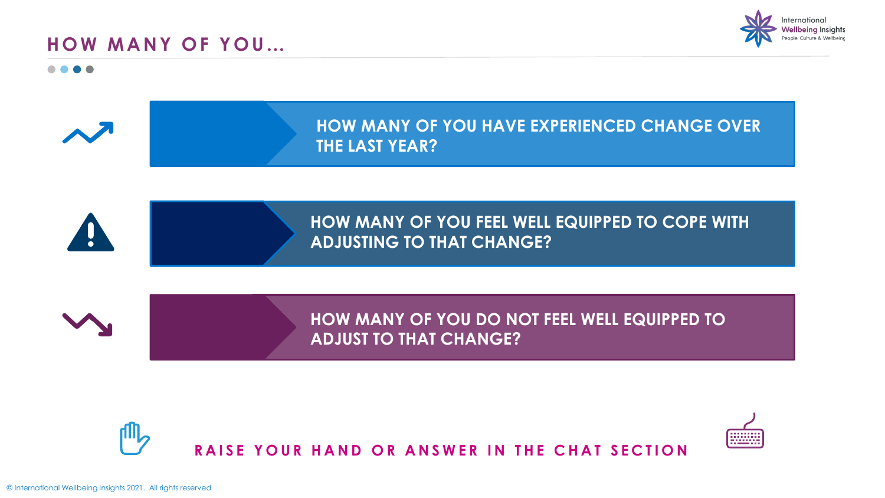



---------<br>----------<br>----------

. . . .





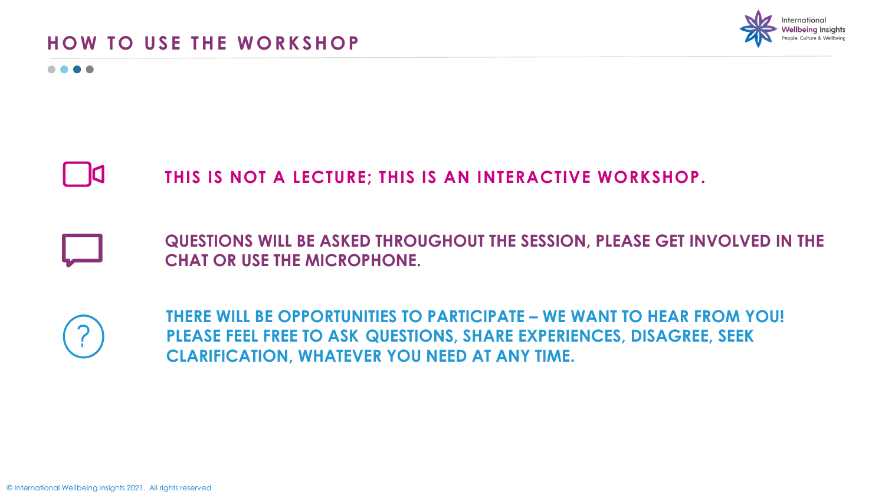## **HOW TO USE THE WORKSHOP**



 $\bullet\bullet\bullet\bullet$ 

## **THIS IS NOT A LECTURE; THIS IS AN INTERACTIVE WORKSHOP.**

**QUESTIONS WILL BE ASKED THROUGHOUT THE SESSION, PLEASE GET INVOLVED IN THE CHAT OR USE THE MICROPHONE.**

**THERE WILL BE OPPORTUNITIES TO PARTICIPATE – WE WANT TO HEAR FROM YOU! PLEASE FEEL FREE TO ASK QUESTIONS, SHARE EXPERIENCES, DISAGREE, SEEK CLARIFICATION, WHATEVER YOU NEED AT ANY TIME.**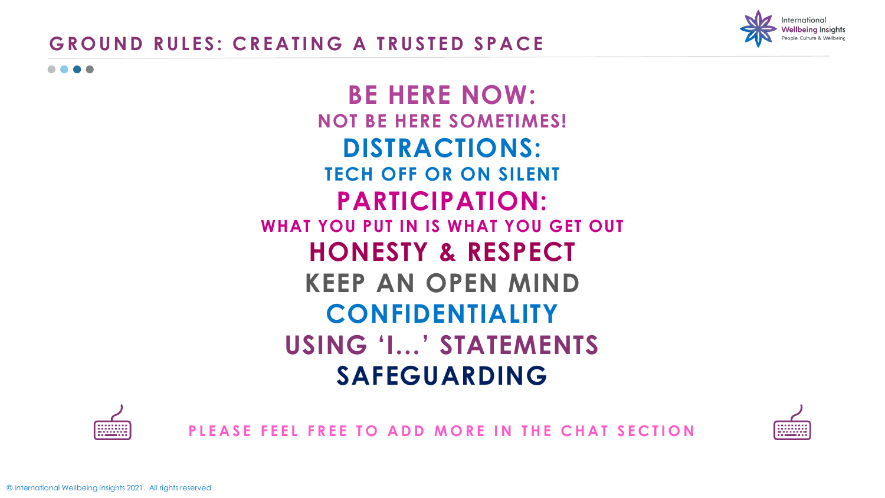

## **GROUND RULES: CREATING A TRUSTED SPACE**

. . . .

## **BE HERE NOW: NOT BE HERE SOMETIMES! DISTRACTIONS: TECH OFF OR ON SILENT PARTICIPATION: WHAT YOU PUT IN IS WHAT YOU GET OUT HONESTY & RESPECT KEEP AN OPEN MIND CONFIDENTIALITY USING 'I…' STATEMENTS SAFEGUARDING**



**PLEASE FEEL FREE TO ADD MORE IN THE CHAT SECTION** 

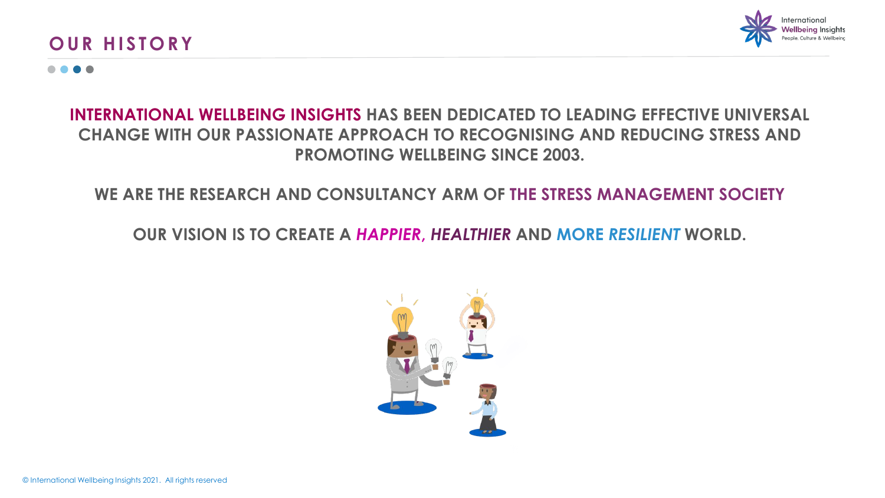#### **OUR HISTORY**



#### . . . .

#### **INTERNATIONAL WELLBEING INSIGHTS HAS BEEN DEDICATED TO LEADING EFFECTIVE UNIVERSAL CHANGE WITH OUR PASSIONATE APPROACH TO RECOGNISING AND REDUCING STRESS AND PROMOTING WELLBEING SINCE 2003.**

#### **WE ARE THE RESEARCH AND CONSULTANCY ARM OF THE STRESS MANAGEMENT SOCIETY**

**OUR VISION IS TO CREATE A** *HAPPIER***,** *HEALTHIER* **AND MORE** *RESILIENT* **WORLD.** 

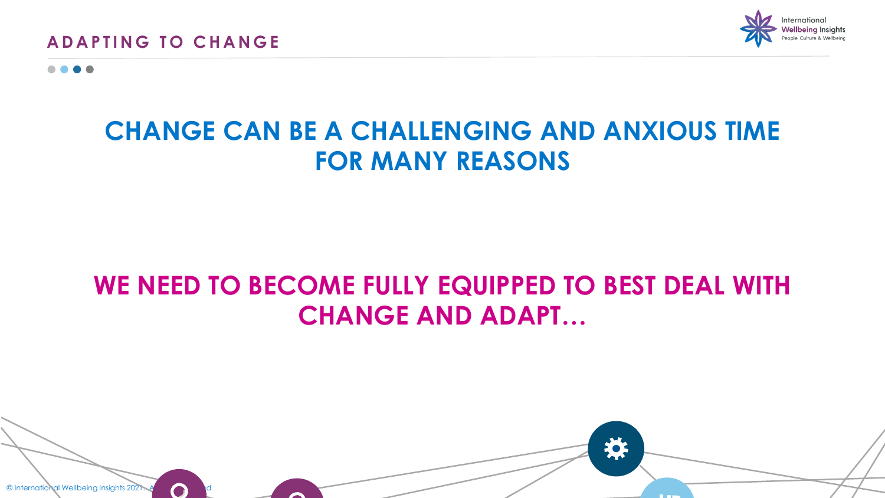

# **CHANGE CAN BE A CHALLENGING AND ANXIOUS TIME FOR MANY REASONS**

# **WE NEED TO BECOME FULLY EQUIPPED TO BEST DEAL WITH CHANGE AND ADAPT…**

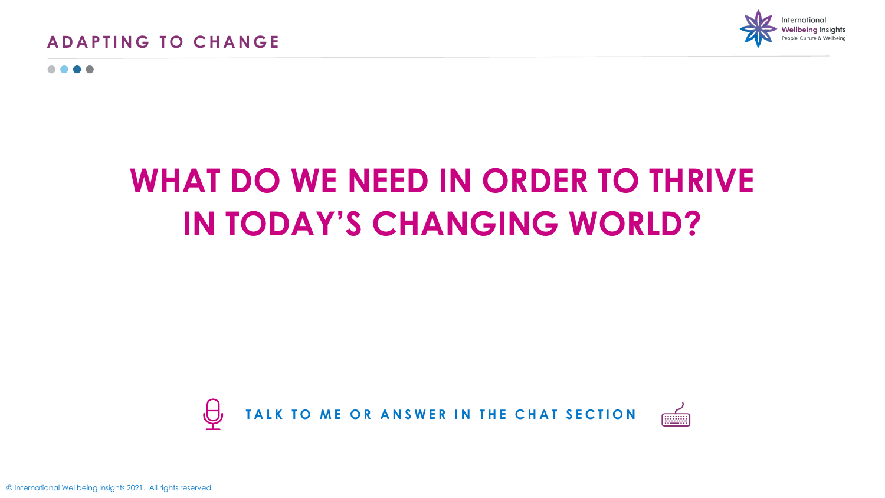

. . .

# **WHAT DO WE NEED IN ORDER TO THRIVE IN TODAY'S CHANGING WORLD?**



© International Wellbeing Insights 2021. All rights reserved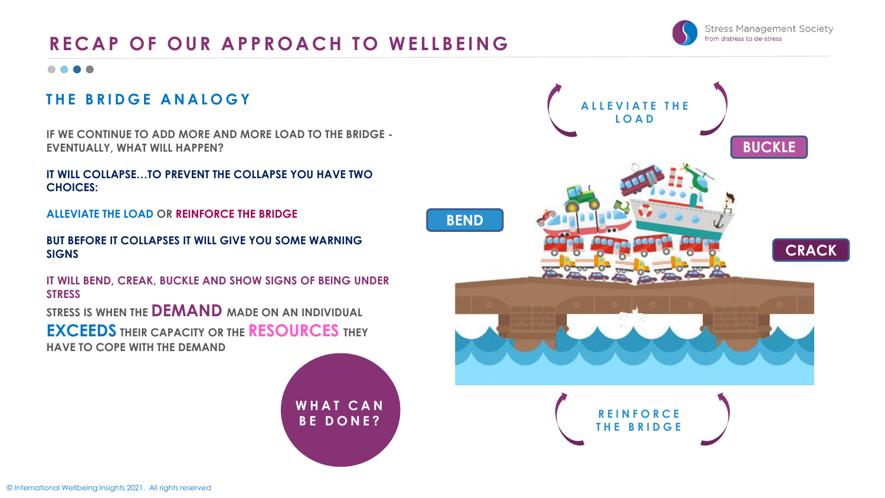## RECAP OF OUR APPROACH TO WELLBEING

#### ....

#### **THE BRIDGE ANALOGY**

**IF WE CONTINUE TO ADD MORE AND MORE LOAD TO THE BRIDGE - EVENTUALLY, WHAT WILL HAPPEN?** 

**IT WILL COLLAPSE…TO PREVENT THE COLLAPSE YOU HAVE TWO CHOICES:** 

**ALLEVIATE THE LOAD OR REINFORCE THE BRIDGE**

**BUT BEFORE IT COLLAPSES IT WILL GIVE YOU SOME WARNING SIGNS**

**IT WILL BEND, CREAK, BUCKLE AND SHOW SIGNS OF BEING UNDER STRESS**

**STRESS IS WHEN THE DEMAND MADE ON AN INDIVIDUAL** 

**EXCEEDS THEIR CAPACITY OR THE RESOURCES THEY HAVE TO COPE WITH THE DEMAND**



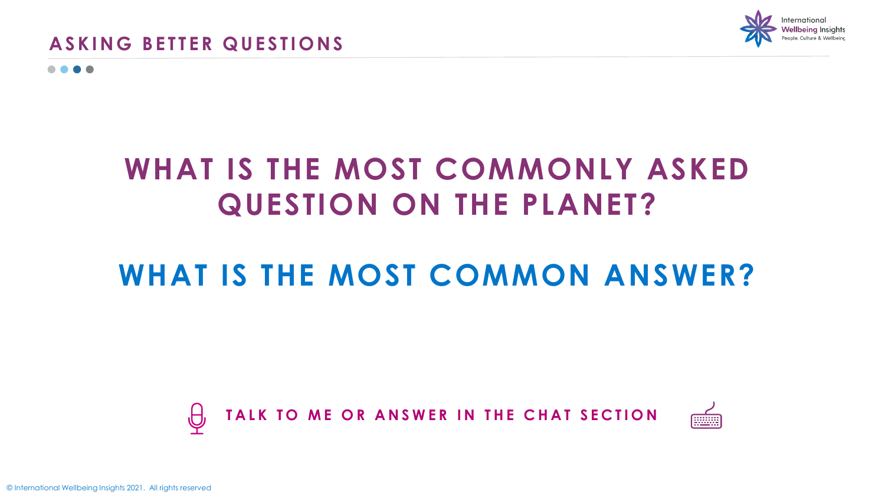

. . . .

# **WHAT IS THE MOST COMMONLY ASKED QUESTION ON THE PLANET?**

# **WHAT IS THE MOST COMMON ANSWER?**



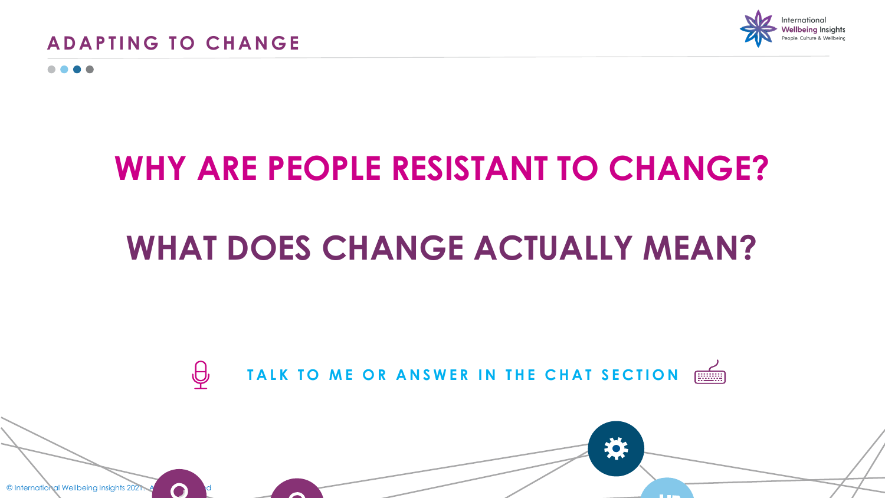



# **WHY ARE PEOPLE RESISTANT TO CHANGE?**

# **WHAT DOES CHANGE ACTUALLY MEAN?**

TALK TO ME OR ANSWER IN THE CHAT SECTION **FILSE**  $\bigoplus$ 

E O !

**College** 

© International Wellbeing Insights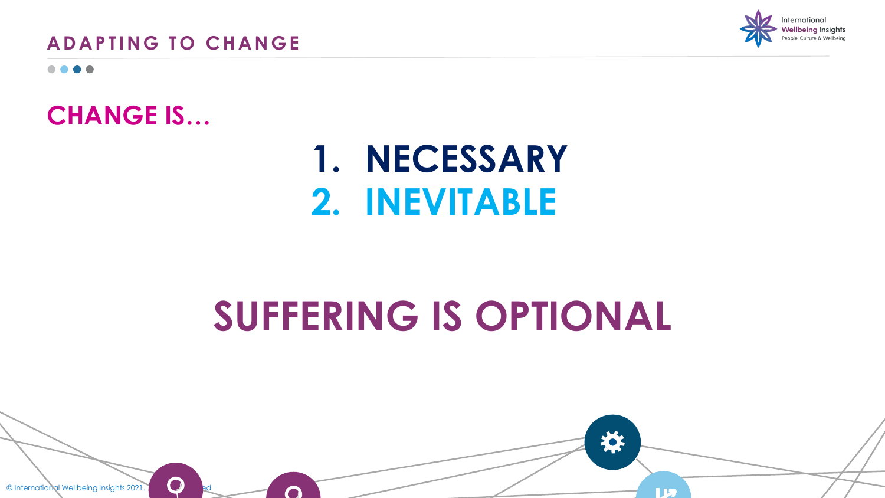**ADAPTING TO CHANGE** 



. . .

## **CHANGE IS…**

# **1. NECESSARY 2. INEVITABLE**

# **SUFFERING IS OPTIONAL**

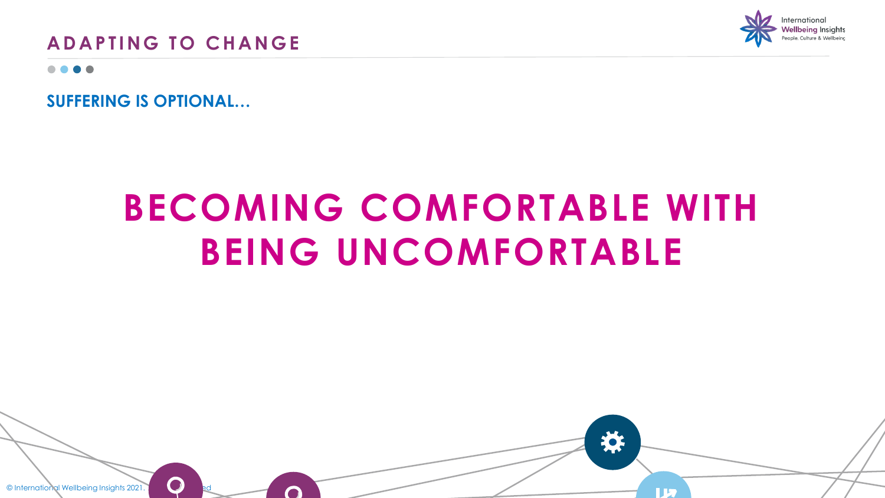

## **ADAPTING TO CHANGE**

. . . .

**SUFFERING IS OPTIONAL…**

# **BECOMING COMFORTABLE WITH BEING UNCOMFORTABLE**

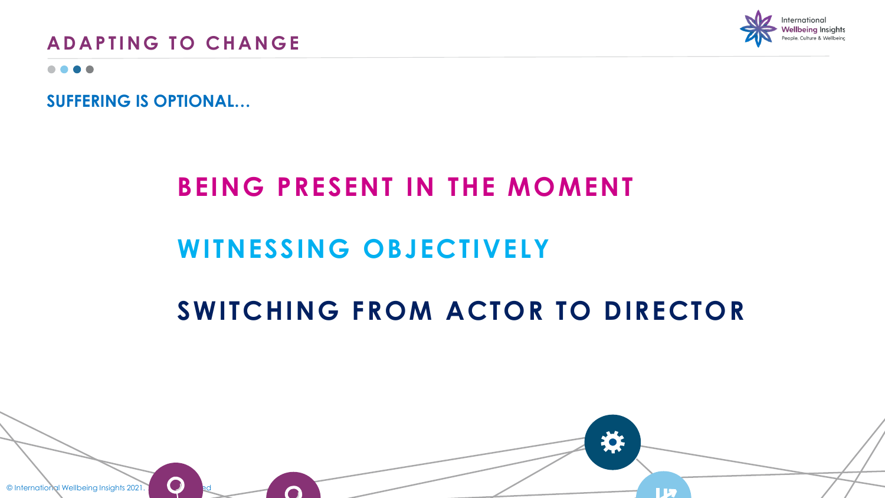**ADAPTING TO CHANGE** 



. . . .

**SUFFERING IS OPTIONAL…**

## **BEING PRESENT IN THE MOMENT**

# **WITNESSING OBJECTIVELY**

# **SWITCHING FROM ACTOR TO DIRECTOR**

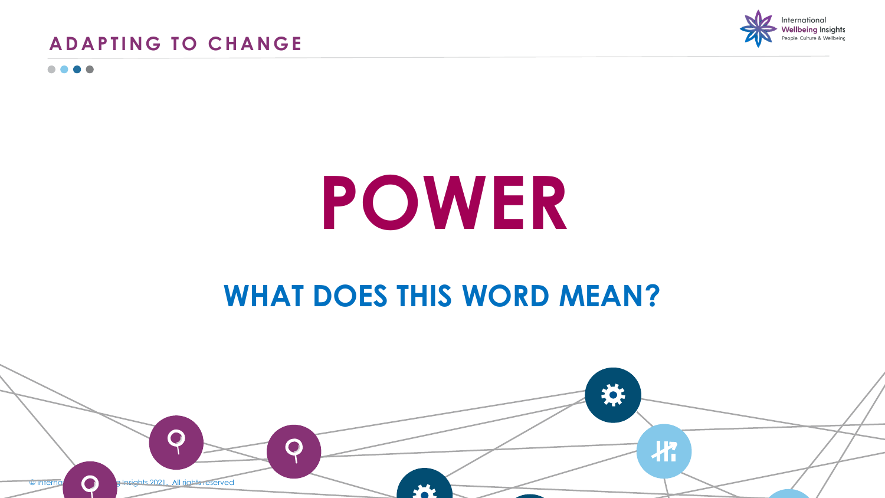



....

# **POWER**

# **WHAT DOES THIS WORD MEAN?**

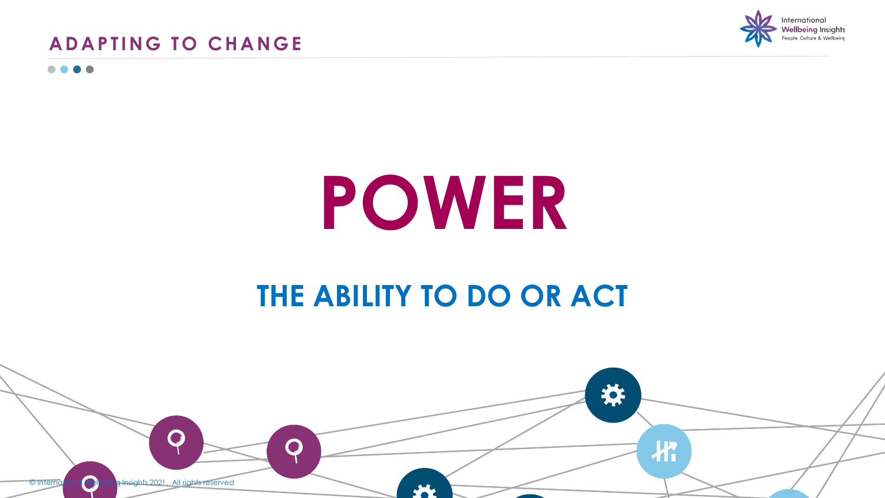



....

# **POWER**

# **THE ABILITY TO DO OR ACT**

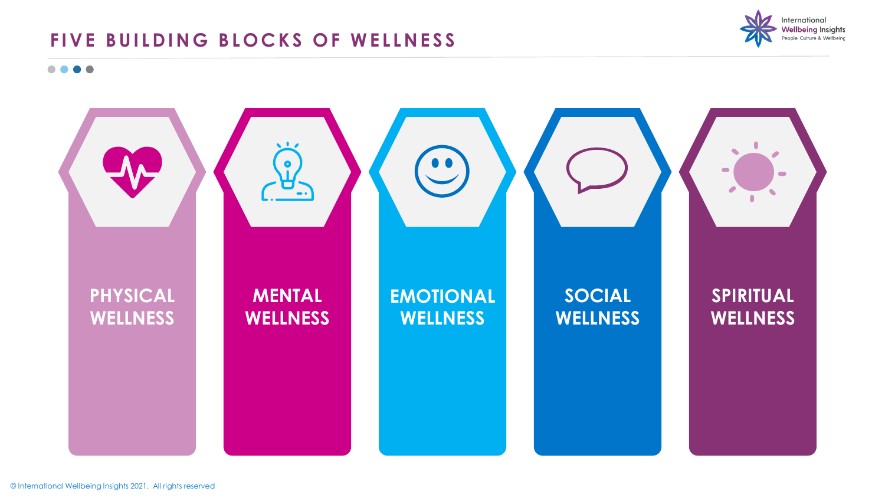## FIVE BUILDING BLOCKS OF WELLNESS



....

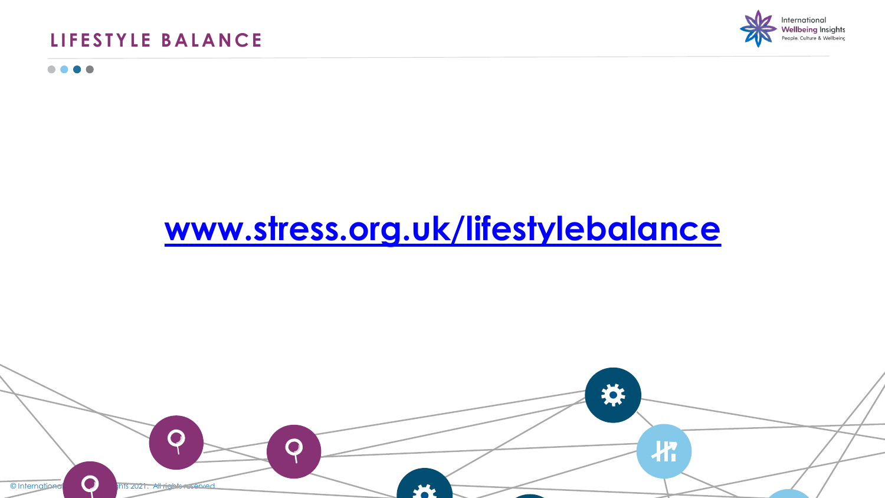### **LIFESTYLE BALANCE**

....



# **[www.stress.org.uk/lifestylebalance](http://www.stress.org.uk/lifestylebalance)**

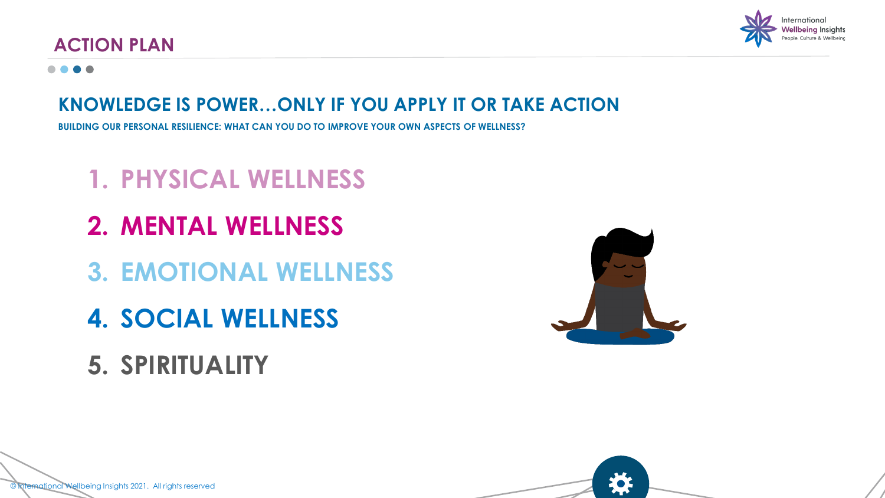

### **ACTION PLAN**

#### . . . .

## **KNOWLEDGE IS POWER…ONLY IF YOU APPLY IT OR TAKE ACTION**

**BUILDING OUR PERSONAL RESILIENCE: WHAT CAN YOU DO TO IMPROVE YOUR OWN ASPECTS OF WELLNESS?**

# **1. PHYSICAL WELLNESS**

- **2. MENTAL WELLNESS**
- **3. EMOTIONAL WELLNESS**
- **4. SOCIAL WELLNESS**
- **5. SPIRITUALITY**



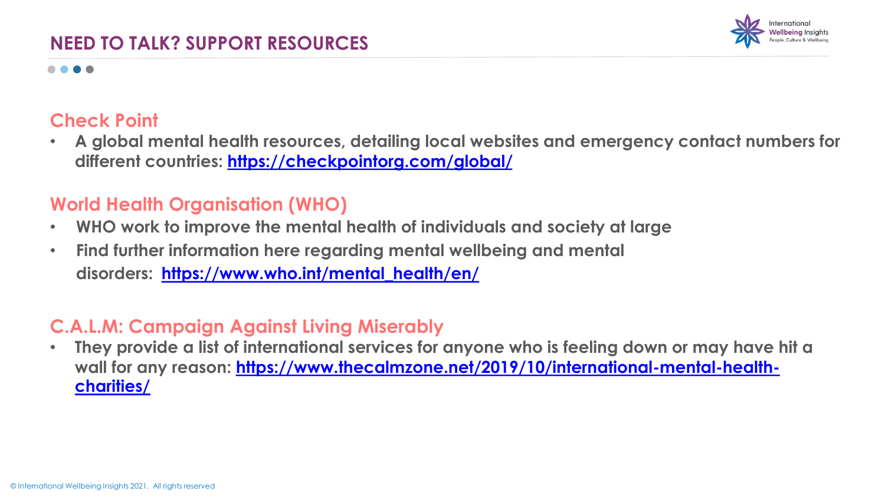

#### ....

#### **Check Point**

• **A global mental health resources, detailing local websites and emergency contact numbers for different countries:<https://checkpointorg.com/global/>**

#### **World Health Organisation (WHO)**

- **WHO work to improve the mental health of individuals and society at large**
- **Find further information here regarding mental wellbeing and mental disorders: [https://www.who.int/mental\\_health/en/](https://www.who.int/mental_health/en/)**

## **C.A.L.M: Campaign Against Living Miserably**

• **They provide a list of international services for anyone who is feeling down or may have hit a**  [wall for any reason: https://www.thecalmzone.net/2019/10/international-mental-health](https://www.thecalmzone.net/2019/10/international-mental-health-charities/)**charities/**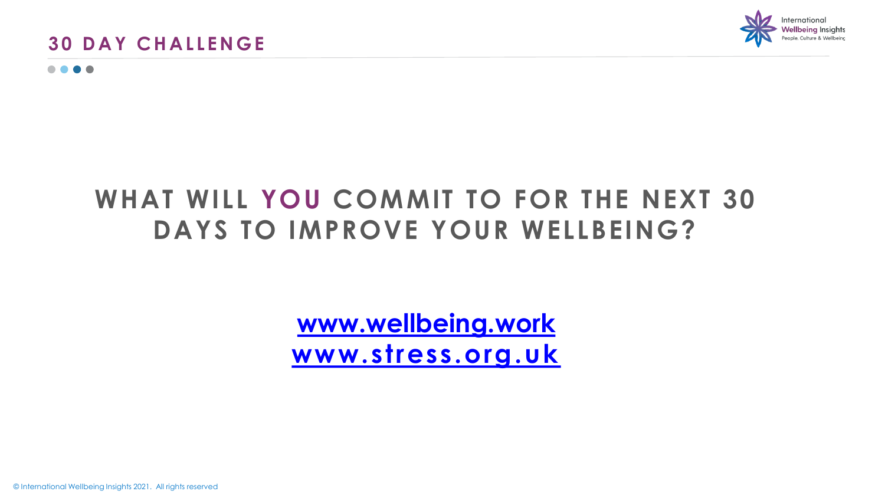



. . . .

# **WHAT WILL YOU COMMIT TO FOR THE NEXT 30 DAYS TO IMPROVE YOUR WELLBEING?**

**[www.wellbeing.work](http://www.wellbeing.work/) [www.stress.org.uk](http://www.stress.org.uk/30daychallenge)**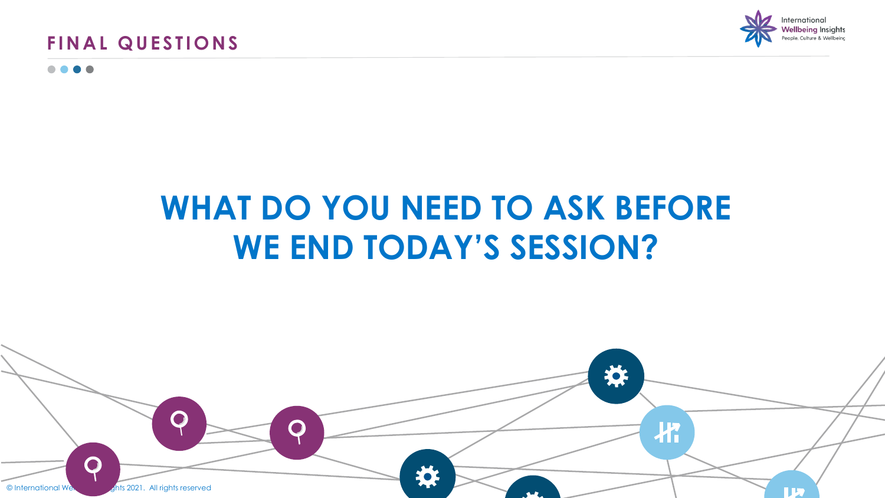



. . . .

# **WHAT DO YOU NEED TO ASK BEFORE WE END TODAY'S SESSION?**